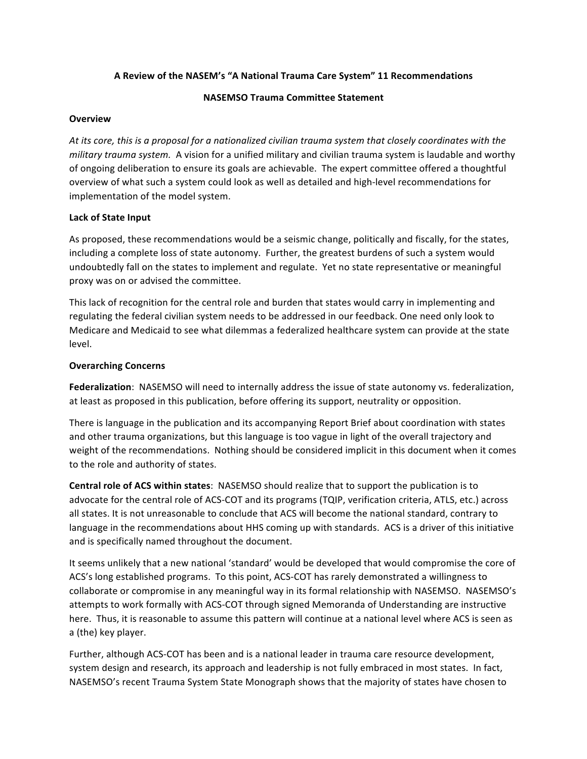### **A Review of the NASEM's "A National Trauma Care System" 11 Recommendations**

### **NASEMSO Trauma Committee Statement**

### **Overview**

At its core, this is a proposal for a nationalized civilian trauma system that closely coordinates with the *military trauma system.* A vision for a unified military and civilian trauma system is laudable and worthy of ongoing deliberation to ensure its goals are achievable. The expert committee offered a thoughtful overview of what such a system could look as well as detailed and high-level recommendations for implementation of the model system.

### **Lack of State Input**

As proposed, these recommendations would be a seismic change, politically and fiscally, for the states, including a complete loss of state autonomy. Further, the greatest burdens of such a system would undoubtedly fall on the states to implement and regulate. Yet no state representative or meaningful proxy was on or advised the committee.

This lack of recognition for the central role and burden that states would carry in implementing and regulating the federal civilian system needs to be addressed in our feedback. One need only look to Medicare and Medicaid to see what dilemmas a federalized healthcare system can provide at the state level. 

### **Overarching Concerns**

**Federalization**: NASEMSO will need to internally address the issue of state autonomy vs. federalization, at least as proposed in this publication, before offering its support, neutrality or opposition.

There is language in the publication and its accompanying Report Brief about coordination with states and other trauma organizations, but this language is too vague in light of the overall trajectory and weight of the recommendations. Nothing should be considered implicit in this document when it comes to the role and authority of states.

**Central role of ACS within states:** NASEMSO should realize that to support the publication is to advocate for the central role of ACS-COT and its programs (TQIP, verification criteria, ATLS, etc.) across all states. It is not unreasonable to conclude that ACS will become the national standard, contrary to language in the recommendations about HHS coming up with standards. ACS is a driver of this initiative and is specifically named throughout the document.

It seems unlikely that a new national 'standard' would be developed that would compromise the core of ACS's long established programs. To this point, ACS-COT has rarely demonstrated a willingness to collaborate or compromise in any meaningful way in its formal relationship with NASEMSO. NASEMSO's attempts to work formally with ACS-COT through signed Memoranda of Understanding are instructive here. Thus, it is reasonable to assume this pattern will continue at a national level where ACS is seen as a (the) key player.

Further, although ACS-COT has been and is a national leader in trauma care resource development, system design and research, its approach and leadership is not fully embraced in most states. In fact, NASEMSO's recent Trauma System State Monograph shows that the majority of states have chosen to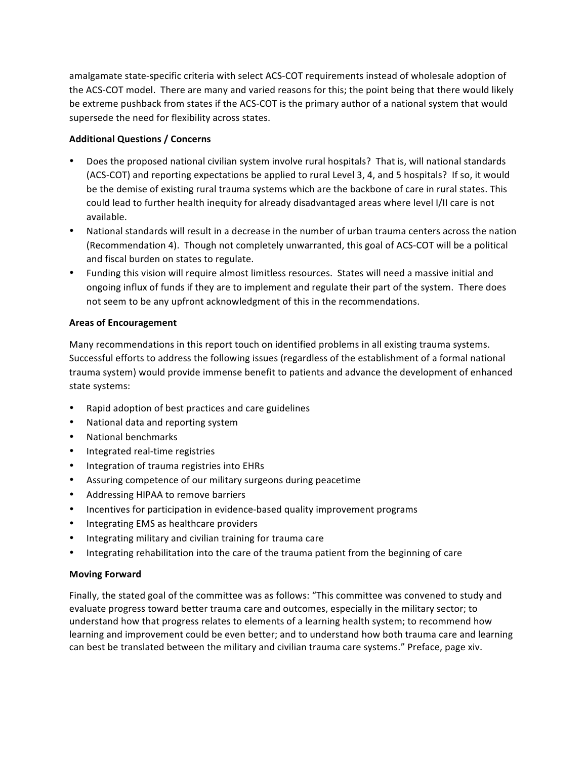amalgamate state-specific criteria with select ACS-COT requirements instead of wholesale adoption of the ACS-COT model. There are many and varied reasons for this; the point being that there would likely be extreme pushback from states if the ACS-COT is the primary author of a national system that would supersede the need for flexibility across states.

## **Additional Questions / Concerns**

- Does the proposed national civilian system involve rural hospitals? That is, will national standards (ACS-COT) and reporting expectations be applied to rural Level 3, 4, and 5 hospitals? If so, it would be the demise of existing rural trauma systems which are the backbone of care in rural states. This could lead to further health inequity for already disadvantaged areas where level I/II care is not available.
- National standards will result in a decrease in the number of urban trauma centers across the nation (Recommendation 4). Though not completely unwarranted, this goal of ACS-COT will be a political and fiscal burden on states to regulate.
- Funding this vision will require almost limitless resources. States will need a massive initial and ongoing influx of funds if they are to implement and regulate their part of the system. There does not seem to be any upfront acknowledgment of this in the recommendations.

### **Areas of Encouragement**

Many recommendations in this report touch on identified problems in all existing trauma systems. Successful efforts to address the following issues (regardless of the establishment of a formal national trauma system) would provide immense benefit to patients and advance the development of enhanced state systems:

- Rapid adoption of best practices and care guidelines
- National data and reporting system
- National benchmarks
- Integrated real-time registries
- Integration of trauma registries into EHRs
- Assuring competence of our military surgeons during peacetime
- Addressing HIPAA to remove barriers
- Incentives for participation in evidence-based quality improvement programs
- Integrating EMS as healthcare providers
- Integrating military and civilian training for trauma care
- Integrating rehabilitation into the care of the trauma patient from the beginning of care

# **Moving Forward**

Finally, the stated goal of the committee was as follows: "This committee was convened to study and evaluate progress toward better trauma care and outcomes, especially in the military sector; to understand how that progress relates to elements of a learning health system; to recommend how learning and improvement could be even better; and to understand how both trauma care and learning can best be translated between the military and civilian trauma care systems." Preface, page xiv.